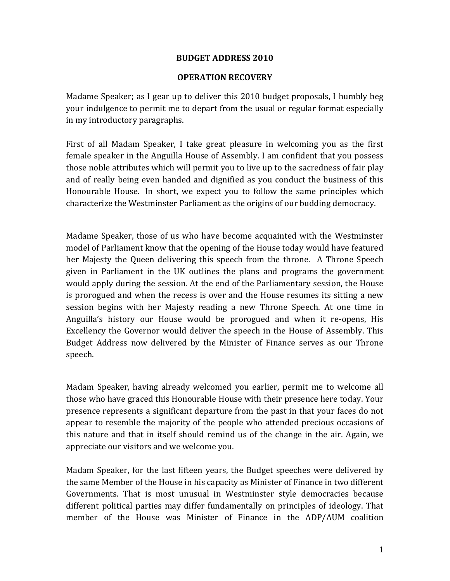### **BUDGET ADDRESS 2010**

#### **OPERATION RECOVERY**

Madame Speaker; as I gear up to deliver this 2010 budget proposals, I humbly beg your indulgence to permit me to depart from the usual or regular format especially in my introductory paragraphs.

First of all Madam Speaker, I take great pleasure in welcoming you as the first female speaker in the Anguilla House of Assembly. I am confident that you possess those noble attributes which will permit you to live up to the sacredness of fair play and of really being even handed and dignified as you conduct the business of this Honourable House. In short, we expect you to follow the same principles which characterize the Westminster Parliament as the origins of our budding democracy.

Madame Speaker, those of us who have become acquainted with the Westminster model of Parliament know that the opening of the House today would have featured her Majesty the Queen delivering this speech from the throne. A Throne Speech given in Parliament in the UK outlines the plans and programs the government would apply during the session. At the end of the Parliamentary session, the House is prorogued and when the recess is over and the House resumes its sitting a new session begins with her Majesty reading a new Throne Speech. At one time in Anguilla's history our House would be prorogued and when it re‐opens, His Excellency the Governor would deliver the speech in the House of Assembly. This Budget Address now delivered by the Minister of Finance serves as our Throne speech.

Madam Speaker, having already welcomed you earlier, permit me to welcome all those who have graced this Honourable House with their presence here today. Your presence represents a significant departure from the past in that your faces do not appear to resemble the majority of the people who attended precious occasions of this nature and that in itself should remind us of the change in the air. Again, we appreciate our visitors and we welcome you.

Madam Speaker, for the last fifteen years, the Budget speeches were delivered by the same Member of the House in his capacity as Minister of Finance in two different Governments. That is most unusual in Westminster style democracies because different political parties may differ fundamentally on principles of ideology. That member of the House was Minister of Finance in the ADP/AUM coalition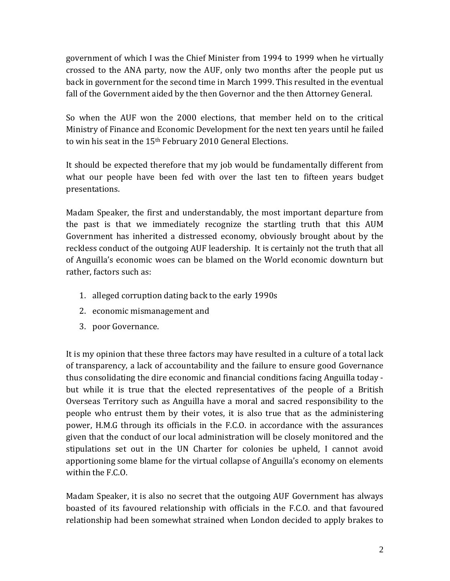government of which I was the Chief Minister from 1994 to 1999 when he virtually crossed to the ANA party, now the AUF, only two months after the people put us back in government for the second time in March 1999. This resulted in the eventual fall of the Government aided by the then Governor and the then Attorney General.

So when the AUF won the 2000 elections, that member held on to the critical Ministry of Finance and Economic Development for the next ten years until he failed to win his seat in the  $15<sup>th</sup>$  February 2010 General Elections.

It should be expected therefore that my job would be fundamentally different from what our people have been fed with over the last ten to fifteen years budget presentations.

Madam Speaker, the first and understandably, the most important departure from the past is that we immediately recognize the startling truth that this AUM Government has inherited a distressed economy, obviously brought about by the reckless conduct of the outgoing AUF leadership. It is certainly not the truth that all of Anguilla's economic woes can be blamed on the World economic downturn but rather, factors such as:

- 1. alleged corruption dating back to the early 1990s
- 2. economic mismanagement and
- 3. poor Governance.

It is my opinion that these three factors may have resulted in a culture of a total lack of transparency, a lack of accountability and the failure to ensure good Governance thus consolidating the dire economic and financial conditions facing Anguilla today ‐ but while it is true that the elected representatives of the people of a British Overseas Territory such as Anguilla have a moral and sacred responsibility to the people who entrust them by their votes, it is also true that as the administering power, H.M.G through its officials in the F.C.O. in accordance with the assurances given that the conduct of our local administration will be closely monitored and the stipulations set out in the UN Charter for colonies be upheld, I cannot avoid apportioning some blame for the virtual collapse of Anguilla's economy on elements within the F.C.O.

Madam Speaker, it is also no secret that the outgoing AUF Government has always boasted of its favoured relationship with officials in the F.C.O. and that favoured relationship had been somewhat strained when London decided to apply brakes to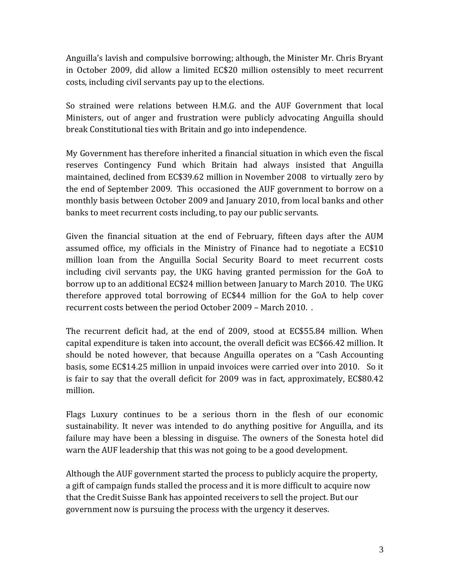Anguilla's lavish and compulsive borrowing; although, the Minister Mr. Chris Bryant in October 2009, did allow a limited EC\$20 million ostensibly to meet recurrent costs, including civil servants pay up to the elections.

So strained were relations between H.M.G. and the AUF Government that local Ministers, out of anger and frustration were publicly advocating Anguilla should break Constitutional ties with Britain and go into independence.

My Government has therefore inherited a financial situation in which even the fiscal reserves Contingency Fund which Britain had always insisted that Anguilla maintained, declined from EC\$39.62 million in November 2008 to virtually zero by the end of September 2009. This occasioned the AUF government to borrow on a monthly basis between October 2009 and January 2010, from local banks and other banks to meet recurrent costs including, to pay our public servants.

Given the financial situation at the end of February, fifteen days after the AUM assumed office, my officials in the Ministry of Finance had to negotiate a EC\$10 million loan from the Anguilla Social Security Board to meet recurrent costs including civil servants pay, the UKG having granted permission for the GoA to borrow up to an additional EC\$24 million between January to March 2010. The UKG therefore approved total borrowing of EC\$44 million for the GoA to help cover recurrent costs between the period October 2009 – March 2010. .

The recurrent deficit had, at the end of 2009, stood at EC\$55.84 million. When capital expenditure is taken into account, the overall deficit was EC\$66.42 million. It should be noted however, that because Anguilla operates on a "Cash Accounting basis, some EC\$14.25 million in unpaid invoices were carried over into 2010. So it is fair to say that the overall deficit for 2009 was in fact, approximately, EC\$80.42 million.

Flags Luxury continues to be a serious thorn in the flesh of our economic sustainability. It never was intended to do anything positive for Anguilla, and its failure may have been a blessing in disguise. The owners of the Sonesta hotel did warn the AUF leadership that this was not going to be a good development.

Although the AUF government started the process to publicly acquire the property, a gift of campaign funds stalled the process and it is more difficult to acquire now that the Credit Suisse Bank has appointed receivers to sell the project. But our government now is pursuing the process with the urgency it deserves.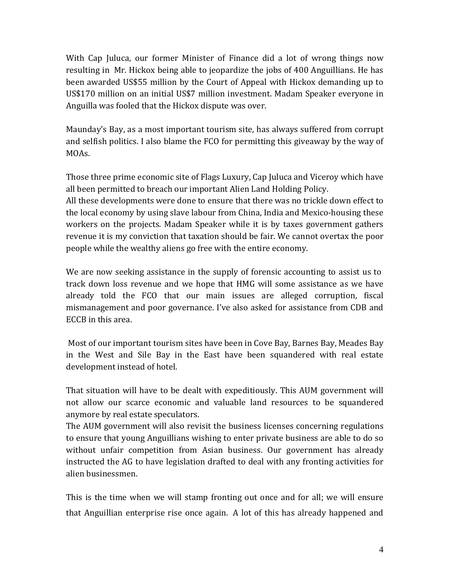With Cap Juluca, our former Minister of Finance did a lot of wrong things now resulting in Mr. Hickox being able to jeopardize the jobs of 400 Anguillians. He has been awarded US\$55 million by the Court of Appeal with Hickox demanding up to US\$170 million on an initial US\$7 million investment. Madam Speaker everyone in Anguilla was fooled that the Hickox dispute was over.

Maunday's Bay, as a most important tourism site, has always suffered from corrupt and selfish politics. I also blame the FCO for permitting this giveaway by the way of MOAs.

Those three prime economic site of Flags Luxury, Cap Juluca and Viceroy which have all been permitted to breach our important Alien Land Holding Policy.

All these developments were done to ensure that there was no trickle down effect to the local economy by using slave labour from China, India and Mexico-housing these workers on the projects. Madam Speaker while it is by taxes government gathers revenue it is my conviction that taxation should be fair. We cannot overtax the poor people while the wealthy aliens go free with the entire economy.

We are now seeking assistance in the supply of forensic accounting to assist us to track down loss revenue and we hope that HMG will some assistance as we have already told the FCO that our main issues are alleged corruption, fiscal mismanagement and poor governance. I've also asked for assistance from CDB and ECCB in this area.

 Most of our important tourism sites have been in Cove Bay, Barnes Bay, Meades Bay in the West and Sile Bay in the East have been squandered with real estate development instead of hotel.

That situation will have to be dealt with expeditiously. This AUM government will not allow our scarce economic and valuable land resources to be squandered anymore by real estate speculators.

The AUM government will also revisit the business licenses concerning regulations to ensure that young Anguillians wishing to enter private business are able to do so without unfair competition from Asian business. Our government has already instructed the AG to have legislation drafted to deal with any fronting activities for alien businessmen.

This is the time when we will stamp fronting out once and for all; we will ensure that Anguillian enterprise rise once again. A lot of this has already happened and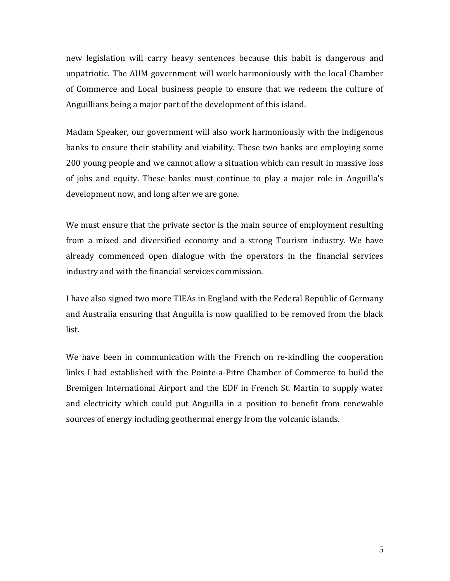new legislation will carry heavy sentences because this habit is dangerous and unpatriotic. The AUM government will work harmoniously with the local Chamber of Commerce and Local business people to ensure that we redeem the culture of Anguillians being a major part of the development of this island.

Madam Speaker, our government will also work harmoniously with the indigenous banks to ensure their stability and viability. These two banks are employing some 200 young people and we cannot allow a situation which can result in massive loss of jobs and equity. These banks must continue to play a major role in Anguilla's development now, and long after we are gone.

We must ensure that the private sector is the main source of employment resulting from a mixed and diversified economy and a strong Tourism industry. We have already commenced open dialogue with the operators in the financial services industry and with the financial services commission.

I have also signed two more TIEAs in England with the Federal Republic of Germany and Australia ensuring that Anguilla is now qualified to be removed from the black list.

We have been in communication with the French on re-kindling the cooperation links I had established with the Pointe‐a‐Pitre Chamber of Commerce to build the Bremigen International Airport and the EDF in French St. Martin to supply water and electricity which could put Anguilla in a position to benefit from renewable sources of energy including geothermal energy from the volcanic islands.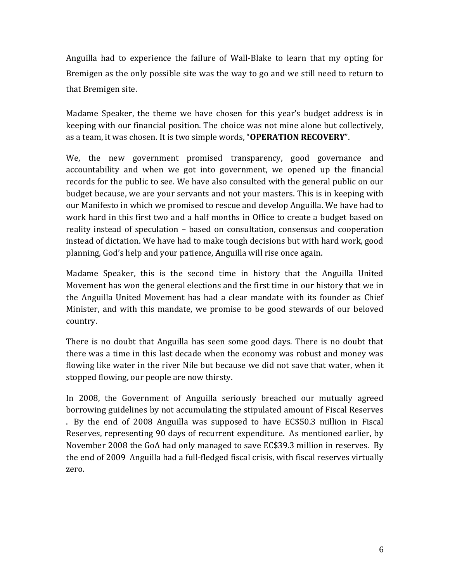Anguilla had to experience the failure of Wall‐Blake to learn that my opting for Bremigen as the only possible site was the way to go and we still need to return to that Bremigen site.

Madame Speaker, the theme we have chosen for this year's budget address is in keeping with our financial position. The choice was not mine alone but collectively, as a team, it was chosen. It is two simple words, "**OPERATION RECOVERY**".

We, the new government promised transparency, good governance and accountability and when we got into government, we opened up the financial records for the public to see. We have also consulted with the general public on our budget because, we are your servants and not your masters. This is in keeping with our Manifesto in which we promised to rescue and develop Anguilla. We have had to work hard in this first two and a half months in Office to create a budget based on reality instead of speculation – based on consultation, consensus and cooperation instead of dictation. We have had to make tough decisions but with hard work, good planning, God's help and your patience, Anguilla will rise once again.

Madame Speaker, this is the second time in history that the Anguilla United Movement has won the general elections and the first time in our history that we in the Anguilla United Movement has had a clear mandate with its founder as Chief Minister, and with this mandate, we promise to be good stewards of our beloved country.

There is no doubt that Anguilla has seen some good days. There is no doubt that there was a time in this last decade when the economy was robust and money was flowing like water in the river Nile but because we did not save that water, when it stopped flowing, our people are now thirsty.

In 2008, the Government of Anguilla seriously breached our mutually agreed borrowing guidelines by not accumulating the stipulated amount of Fiscal Reserves . By the end of 2008 Anguilla was supposed to have EC\$50.3 million in Fiscal Reserves, representing 90 days of recurrent expenditure. As mentioned earlier, by November 2008 the GoA had only managed to save EC\$39.3 million in reserves. By the end of 2009 Anguilla had a full‐fledged fiscal crisis, with fiscal reserves virtually zero.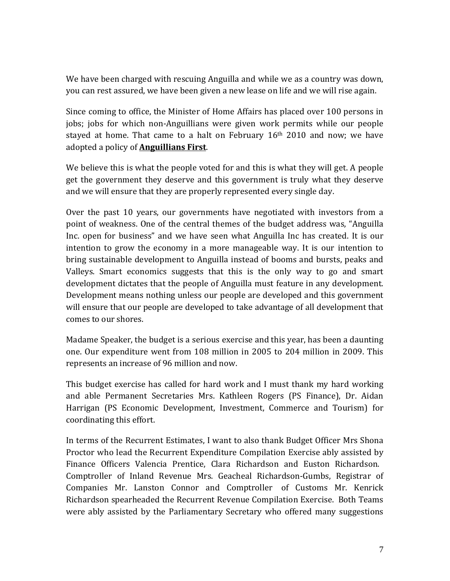We have been charged with rescuing Anguilla and while we as a country was down, you can rest assured, we have been given a new lease on life and we will rise again.

Since coming to office, the Minister of Home Affairs has placed over 100 persons in jobs; jobs for which non‐Anguillians were given work permits while our people stayed at home. That came to a halt on February  $16<sup>th</sup>$  2010 and now; we have adopted a policy of **Anguillians First**.

We believe this is what the people voted for and this is what they will get. A people get the government they deserve and this government is truly what they deserve and we will ensure that they are properly represented every single day.

Over the past 10 years, our governments have negotiated with investors from a point of weakness. One of the central themes of the budget address was, "Anguilla Inc. open for business" and we have seen what Anguilla Inc has created. It is our intention to grow the economy in a more manageable way. It is our intention to bring sustainable development to Anguilla instead of booms and bursts, peaks and Valleys. Smart economics suggests that this is the only way to go and smart development dictates that the people of Anguilla must feature in any development. Development means nothing unless our people are developed and this government will ensure that our people are developed to take advantage of all development that comes to our shores.

Madame Speaker, the budget is a serious exercise and this year, has been a daunting one. Our expenditure went from 108 million in 2005 to 204 million in 2009. This represents an increase of 96 million and now.

This budget exercise has called for hard work and I must thank my hard working and able Permanent Secretaries Mrs. Kathleen Rogers (PS Finance), Dr. Aidan Harrigan (PS Economic Development, Investment, Commerce and Tourism) for coordinating this effort.

In terms of the Recurrent Estimates, I want to also thank Budget Officer Mrs Shona Proctor who lead the Recurrent Expenditure Compilation Exercise ably assisted by Finance Officers Valencia Prentice, Clara Richardson and Euston Richardson. Comptroller of Inland Revenue Mrs. Geacheal Richardson‐Gumbs, Registrar of Companies Mr. Lanston Connor and Comptroller of Customs Mr. Kenrick Richardson spearheaded the Recurrent Revenue Compilation Exercise. Both Teams were ably assisted by the Parliamentary Secretary who offered many suggestions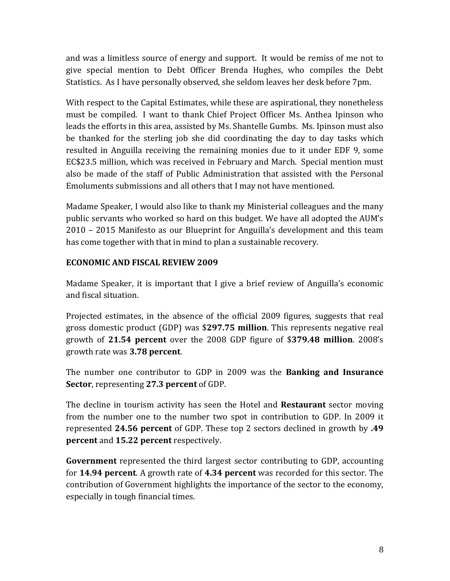and was a limitless source of energy and support. It would be remiss of me not to give special mention to Debt Officer Brenda Hughes, who compiles the Debt Statistics. As I have personally observed, she seldom leaves her desk before 7pm.

With respect to the Capital Estimates, while these are aspirational, they nonetheless must be compiled. I want to thank Chief Project Officer Ms. Anthea Ipinson who leads the efforts in this area, assisted by Ms. Shantelle Gumbs. Ms. Ipinson must also be thanked for the sterling job she did coordinating the day to day tasks which resulted in Anguilla receiving the remaining monies due to it under EDF 9, some EC\$23.5 million, which was received in February and March. Special mention must also be made of the staff of Public Administration that assisted with the Personal Emoluments submissions and all others that I may not have mentioned.

Madame Speaker, I would also like to thank my Ministerial colleagues and the many public servants who worked so hard on this budget. We have all adopted the AUM's 2010 – 2015 Manifesto as our Blueprint for Anguilla's development and this team has come together with that in mind to plan a sustainable recovery.

# **ECONOMIC AND FISCAL REVIEW 2009**

Madame Speaker, it is important that I give a brief review of Anguilla's economic and fiscal situation.

Projected estimates, in the absence of the official 2009 figures, suggests that real gross domestic product (GDP) was \$**297.75 million**. This represents negative real growth of **21.54 percent** over the 2008 GDP figure of \$**379.48 million**. 2008's growth rate was **3.78 percent**.

The number one contributor to GDP in 2009 was the **Banking and Insurance Sector**, representing **27.3 percent** of GDP.

The decline in tourism activity has seen the Hotel and **Restaurant** sector moving from the number one to the number two spot in contribution to GDP. In 2009 it represented **24.56 percent** of GDP. These top 2 sectors declined in growth by **.49 percent** and **15.22 percent** respectively.

**Government** represented the third largest sector contributing to GDP, accounting for **14.94 percent**. A growth rate of **4.34 percent** was recorded for this sector. The contribution of Government highlights the importance of the sector to the economy, especially in tough financial times.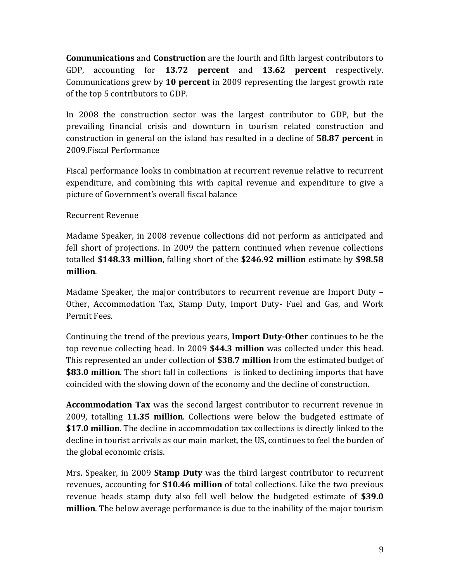**Communications** and **Construction** are the fourth and fifth largest contributors to GDP, accounting for **13.72 percent** and **13.62 percent** respectively. Communications grew by **10 percent** in 2009 representing the largest growth rate of the top 5 contributors to GDP.

In 2008 the construction sector was the largest contributor to GDP, but the prevailing financial crisis and downturn in tourism related construction and construction in general on the island has resulted in a decline of **58.87 percent** in 2009.Fiscal Performance

Fiscal performance looks in combination at recurrent revenue relative to recurrent expenditure, and combining this with capital revenue and expenditure to give a picture of Government's overall fiscal balance

# Recurrent Revenue

Madame Speaker, in 2008 revenue collections did not perform as anticipated and fell short of projections. In 2009 the pattern continued when revenue collections totalled **\$148.33 million**, falling short of the **\$246.92 million** estimate by **\$98.58 million**.

Madame Speaker, the major contributors to recurrent revenue are Import Duty – Other, Accommodation Tax, Stamp Duty, Import Duty‐ Fuel and Gas, and Work Permit Fees.

Continuing the trend of the previous years, **Import Duty‐Other** continues to be the top revenue collecting head. In 2009 **\$44.3 million** was collected under this head. This represented an under collection of **\$38.7 million** from the estimated budget of **\$83.0 million**. The short fall in collections is linked to declining imports that have coincided with the slowing down of the economy and the decline of construction.

**Accommodation Tax** was the second largest contributor to recurrent revenue in 2009, totalling **11.35 million**. Collections were below the budgeted estimate of **\$17.0 million**. The decline in accommodation tax collections is directly linked to the decline in tourist arrivals as our main market, the US, continues to feel the burden of the global economic crisis.

Mrs. Speaker, in 2009 **Stamp Duty** was the third largest contributor to recurrent revenues, accounting for **\$10.46 million** of total collections. Like the two previous revenue heads stamp duty also fell well below the budgeted estimate of **\$39.0 million**. The below average performance is due to the inability of the major tourism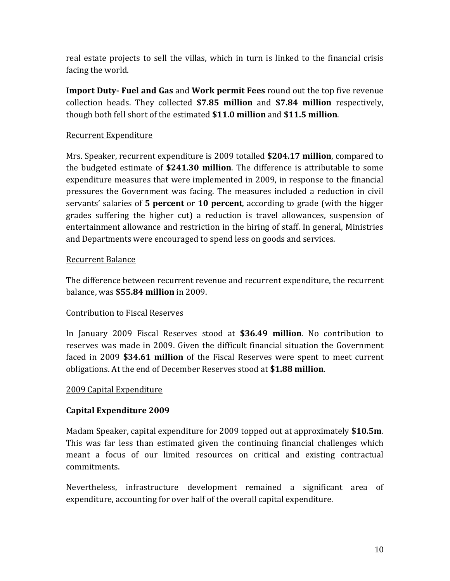real estate projects to sell the villas, which in turn is linked to the financial crisis facing the world.

**Import Duty‐ Fuel and Gas** and **Work permit Fees** round out the top five revenue collection heads. They collected **\$7.85 million** and **\$7.84 million** respectively, though both fell short of the estimated **\$11.0 million** and **\$11.5 million**.

# Recurrent Expenditure

Mrs. Speaker, recurrent expenditure is 2009 totalled **\$204.17 million**, compared to the budgeted estimate of **\$241.30 million**. The difference is attributable to some expenditure measures that were implemented in 2009, in response to the financial pressures the Government was facing. The measures included a reduction in civil servants' salaries of **5 percent** or **10 percent**, according to grade (with the higger grades suffering the higher cut) a reduction is travel allowances, suspension of entertainment allowance and restriction in the hiring of staff. In general, Ministries and Departments were encouraged to spend less on goods and services.

## Recurrent Balance

The difference between recurrent revenue and recurrent expenditure, the recurrent balance, was **\$55.84 million** in 2009.

# Contribution to Fiscal Reserves

In January 2009 Fiscal Reserves stood at **\$36.49 million**. No contribution to reserves was made in 2009. Given the difficult financial situation the Government faced in 2009 **\$34.61 million** of the Fiscal Reserves were spent to meet current obligations. At the end of December Reserves stood at **\$1.88 million**.

## 2009 Capital Expenditure

# **Capital Expenditure 2009**

Madam Speaker, capital expenditure for 2009 topped out at approximately **\$10.5m**. This was far less than estimated given the continuing financial challenges which meant a focus of our limited resources on critical and existing contractual commitments.

Nevertheless, infrastructure development remained a significant area of expenditure, accounting for over half of the overall capital expenditure.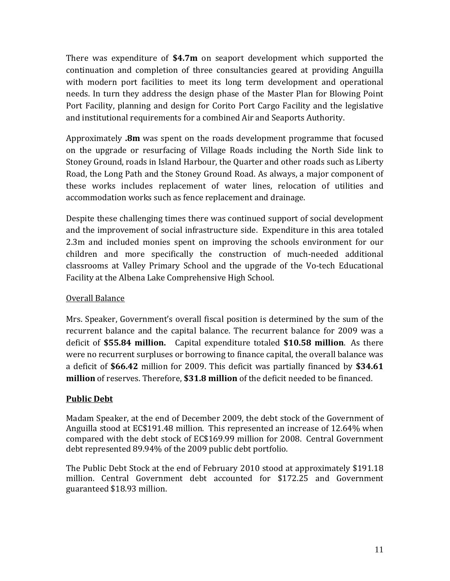There was expenditure of **\$4.7m** on seaport development which supported the continuation and completion of three consultancies geared at providing Anguilla with modern port facilities to meet its long term development and operational needs. In turn they address the design phase of the Master Plan for Blowing Point Port Facility, planning and design for Corito Port Cargo Facility and the legislative and institutional requirements for a combined Air and Seaports Authority.

Approximately **.8m** was spent on the roads development programme that focused on the upgrade or resurfacing of Village Roads including the North Side link to Stoney Ground, roads in Island Harbour, the Quarter and other roads such as Liberty Road, the Long Path and the Stoney Ground Road. As always, a major component of these works includes replacement of water lines, relocation of utilities and accommodation works such as fence replacement and drainage.

Despite these challenging times there was continued support of social development and the improvement of social infrastructure side. Expenditure in this area totaled 2.3m and included monies spent on improving the schools environment for our children and more specifically the construction of much‐needed additional classrooms at Valley Primary School and the upgrade of the Vo‐tech Educational Facility at the Albena Lake Comprehensive High School.

# Overall Balance

Mrs. Speaker, Government's overall fiscal position is determined by the sum of the recurrent balance and the capital balance. The recurrent balance for 2009 was a deficit of **\$55.84 million.** Capital expenditure totaled **\$10.58 million**. As there were no recurrent surpluses or borrowing to finance capital, the overall balance was a deficit of **\$66.42** million for 2009. This deficit was partially financed by **\$34.61 million** of reserves. Therefore, **\$31.8 million** of the deficit needed to be financed.

# **Public Debt**

Madam Speaker, at the end of December 2009, the debt stock of the Government of Anguilla stood at EC\$191.48 million. This represented an increase of 12.64% when compared with the debt stock of EC\$169.99 million for 2008. Central Government debt represented 89.94% of the 2009 public debt portfolio.

The Public Debt Stock at the end of February 2010 stood at approximately \$191.18 million. Central Government debt accounted for \$172.25 and Government guaranteed \$18.93 million.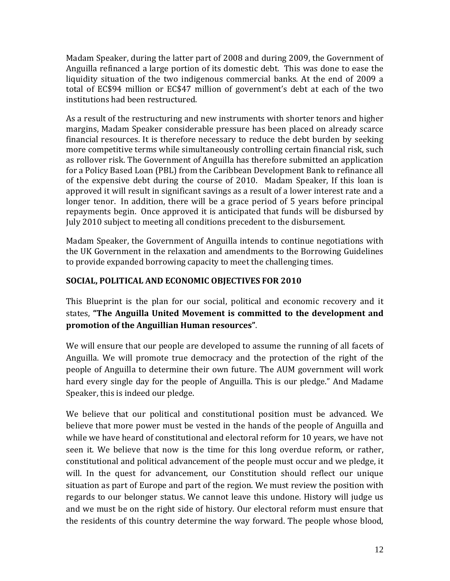Madam Speaker, during the latter part of 2008 and during 2009, the Government of Anguilla refinanced a large portion of its domestic debt. This was done to ease the liquidity situation of the two indigenous commercial banks. At the end of 2009 a total of EC\$94 million or EC\$47 million of government's debt at each of the two institutions had been restructured.

As a result of the restructuring and new instruments with shorter tenors and higher margins, Madam Speaker considerable pressure has been placed on already scarce financial resources. It is therefore necessary to reduce the debt burden by seeking more competitive terms while simultaneously controlling certain financial risk, such as rollover risk. The Government of Anguilla has therefore submitted an application for a Policy Based Loan (PBL) from the Caribbean Development Bank to refinance all of the expensive debt during the course of 2010. Madam Speaker, If this loan is approved it will result in significant savings as a result of a lower interest rate and a longer tenor. In addition, there will be a grace period of 5 years before principal repayments begin. Once approved it is anticipated that funds will be disbursed by July 2010 subject to meeting all conditions precedent to the disbursement.

Madam Speaker, the Government of Anguilla intends to continue negotiations with the UK Government in the relaxation and amendments to the Borrowing Guidelines to provide expanded borrowing capacity to meet the challenging times.

# **SOCIAL, POLITICAL AND ECONOMIC OBJECTIVES FOR 2010**

This Blueprint is the plan for our social, political and economic recovery and it states, **"The Anguilla United Movement is committed to the development and promotion of the Anguillian Human resources"**.

We will ensure that our people are developed to assume the running of all facets of Anguilla. We will promote true democracy and the protection of the right of the people of Anguilla to determine their own future. The AUM government will work hard every single day for the people of Anguilla. This is our pledge." And Madame Speaker, this is indeed our pledge.

We believe that our political and constitutional position must be advanced. We believe that more power must be vested in the hands of the people of Anguilla and while we have heard of constitutional and electoral reform for 10 years, we have not seen it. We believe that now is the time for this long overdue reform, or rather, constitutional and political advancement of the people must occur and we pledge, it will. In the quest for advancement, our Constitution should reflect our unique situation as part of Europe and part of the region. We must review the position with regards to our belonger status. We cannot leave this undone. History will judge us and we must be on the right side of history. Our electoral reform must ensure that the residents of this country determine the way forward. The people whose blood,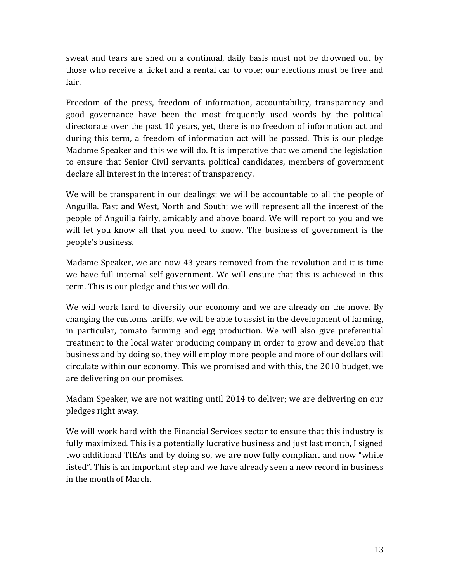sweat and tears are shed on a continual, daily basis must not be drowned out by those who receive a ticket and a rental car to vote; our elections must be free and fair.

Freedom of the press, freedom of information, accountability, transparency and good governance have been the most frequently used words by the political directorate over the past 10 years, yet, there is no freedom of information act and during this term, a freedom of information act will be passed. This is our pledge Madame Speaker and this we will do. It is imperative that we amend the legislation to ensure that Senior Civil servants, political candidates, members of government declare all interest in the interest of transparency.

We will be transparent in our dealings; we will be accountable to all the people of Anguilla. East and West, North and South; we will represent all the interest of the people of Anguilla fairly, amicably and above board. We will report to you and we will let you know all that you need to know. The business of government is the people's business.

Madame Speaker, we are now 43 years removed from the revolution and it is time we have full internal self government. We will ensure that this is achieved in this term. This is our pledge and this we will do.

We will work hard to diversify our economy and we are already on the move. By changing the customs tariffs, we will be able to assist in the development of farming, in particular, tomato farming and egg production. We will also give preferential treatment to the local water producing company in order to grow and develop that business and by doing so, they will employ more people and more of our dollars will circulate within our economy. This we promised and with this, the 2010 budget, we are delivering on our promises.

Madam Speaker, we are not waiting until 2014 to deliver; we are delivering on our pledges right away.

We will work hard with the Financial Services sector to ensure that this industry is fully maximized. This is a potentially lucrative business and just last month, I signed two additional TIEAs and by doing so, we are now fully compliant and now "white listed". This is an important step and we have already seen a new record in business in the month of March.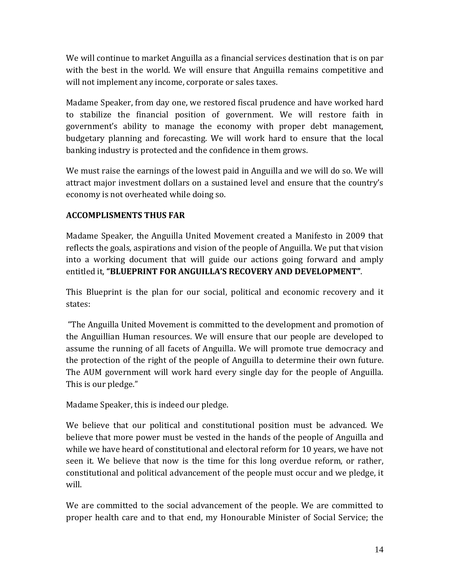We will continue to market Anguilla as a financial services destination that is on par with the best in the world. We will ensure that Anguilla remains competitive and will not implement any income, corporate or sales taxes.

Madame Speaker, from day one, we restored fiscal prudence and have worked hard to stabilize the financial position of government. We will restore faith in government's ability to manage the economy with proper debt management, budgetary planning and forecasting. We will work hard to ensure that the local banking industry is protected and the confidence in them grows.

We must raise the earnings of the lowest paid in Anguilla and we will do so. We will attract major investment dollars on a sustained level and ensure that the country's economy is not overheated while doing so.

# **ACCOMPLISMENTS THUS FAR**

Madame Speaker, the Anguilla United Movement created a Manifesto in 2009 that reflects the goals, aspirations and vision of the people of Anguilla. We put that vision into a working document that will guide our actions going forward and amply entitled it, **"BLUEPRINT FOR ANGUILLA'S RECOVERY AND DEVELOPMENT"**.

This Blueprint is the plan for our social, political and economic recovery and it states:

 "The Anguilla United Movement is committed to the development and promotion of the Anguillian Human resources. We will ensure that our people are developed to assume the running of all facets of Anguilla. We will promote true democracy and the protection of the right of the people of Anguilla to determine their own future. The AUM government will work hard every single day for the people of Anguilla. This is our pledge."

Madame Speaker, this is indeed our pledge.

We believe that our political and constitutional position must be advanced. We believe that more power must be vested in the hands of the people of Anguilla and while we have heard of constitutional and electoral reform for 10 years, we have not seen it. We believe that now is the time for this long overdue reform, or rather, constitutional and political advancement of the people must occur and we pledge, it will.

We are committed to the social advancement of the people. We are committed to proper health care and to that end, my Honourable Minister of Social Service; the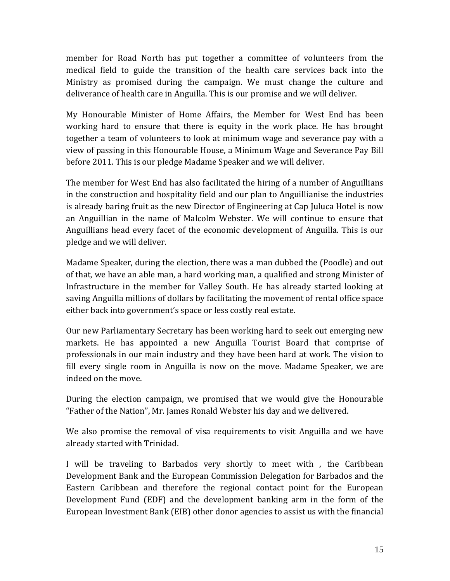member for Road North has put together a committee of volunteers from the medical field to guide the transition of the health care services back into the Ministry as promised during the campaign. We must change the culture and deliverance of health care in Anguilla. This is our promise and we will deliver.

My Honourable Minister of Home Affairs, the Member for West End has been working hard to ensure that there is equity in the work place. He has brought together a team of volunteers to look at minimum wage and severance pay with a view of passing in this Honourable House, a Minimum Wage and Severance Pay Bill before 2011. This is our pledge Madame Speaker and we will deliver.

The member for West End has also facilitated the hiring of a number of Anguillians in the construction and hospitality field and our plan to Anguillianise the industries is already baring fruit as the new Director of Engineering at Cap Juluca Hotel is now an Anguillian in the name of Malcolm Webster. We will continue to ensure that Anguillians head every facet of the economic development of Anguilla. This is our pledge and we will deliver.

Madame Speaker, during the election, there was a man dubbed the (Poodle) and out of that, we have an able man, a hard working man, a qualified and strong Minister of Infrastructure in the member for Valley South. He has already started looking at saving Anguilla millions of dollars by facilitating the movement of rental office space either back into government's space or less costly real estate.

Our new Parliamentary Secretary has been working hard to seek out emerging new markets. He has appointed a new Anguilla Tourist Board that comprise of professionals in our main industry and they have been hard at work. The vision to fill every single room in Anguilla is now on the move. Madame Speaker, we are indeed on the move.

During the election campaign, we promised that we would give the Honourable "Father of the Nation", Mr. James Ronald Webster his day and we delivered.

We also promise the removal of visa requirements to visit Anguilla and we have already started with Trinidad.

I will be traveling to Barbados very shortly to meet with , the Caribbean Development Bank and the European Commission Delegation for Barbados and the Eastern Caribbean and therefore the regional contact point for the European Development Fund (EDF) and the development banking arm in the form of the European Investment Bank (EIB) other donor agencies to assist us with the financial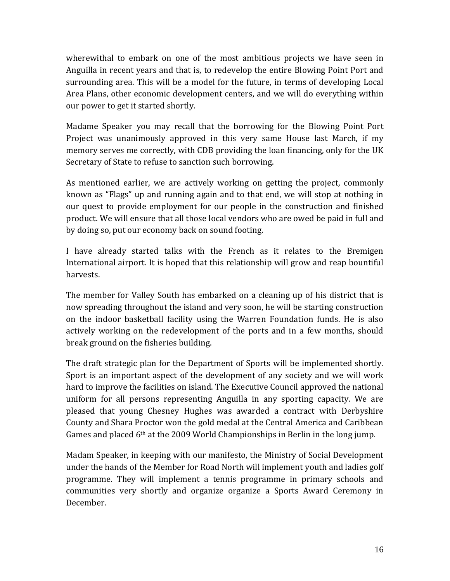wherewithal to embark on one of the most ambitious projects we have seen in Anguilla in recent years and that is, to redevelop the entire Blowing Point Port and surrounding area. This will be a model for the future, in terms of developing Local Area Plans, other economic development centers, and we will do everything within our power to get it started shortly.

Madame Speaker you may recall that the borrowing for the Blowing Point Port Project was unanimously approved in this very same House last March, if my memory serves me correctly, with CDB providing the loan financing, only for the UK Secretary of State to refuse to sanction such borrowing.

As mentioned earlier, we are actively working on getting the project, commonly known as "Flags" up and running again and to that end, we will stop at nothing in our quest to provide employment for our people in the construction and finished product. We will ensure that all those local vendors who are owed be paid in full and by doing so, put our economy back on sound footing.

I have already started talks with the French as it relates to the Bremigen International airport. It is hoped that this relationship will grow and reap bountiful harvests.

The member for Valley South has embarked on a cleaning up of his district that is now spreading throughout the island and very soon, he will be starting construction on the indoor basketball facility using the Warren Foundation funds. He is also actively working on the redevelopment of the ports and in a few months, should break ground on the fisheries building.

The draft strategic plan for the Department of Sports will be implemented shortly. Sport is an important aspect of the development of any society and we will work hard to improve the facilities on island. The Executive Council approved the national uniform for all persons representing Anguilla in any sporting capacity. We are pleased that young Chesney Hughes was awarded a contract with Derbyshire County and Shara Proctor won the gold medal at the Central America and Caribbean Games and placed 6<sup>th</sup> at the 2009 World Championships in Berlin in the long jump.

Madam Speaker, in keeping with our manifesto, the Ministry of Social Development under the hands of the Member for Road North will implement youth and ladies golf programme. They will implement a tennis programme in primary schools and communities very shortly and organize organize a Sports Award Ceremony in December.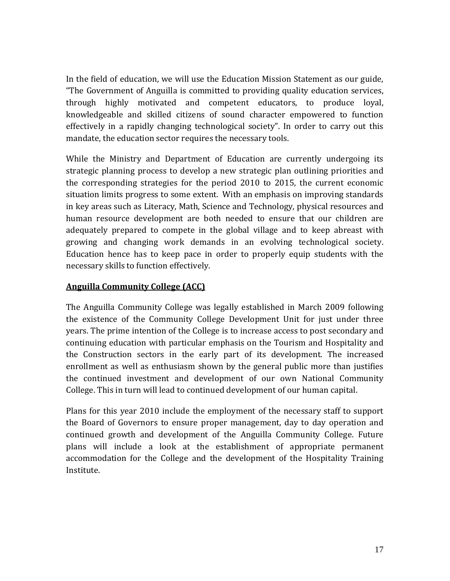In the field of education, we will use the Education Mission Statement as our guide, "The Government of Anguilla is committed to providing quality education services, through highly motivated and competent educators, to produce loyal, knowledgeable and skilled citizens of sound character empowered to function effectively in a rapidly changing technological society". In order to carry out this mandate, the education sector requires the necessary tools.

While the Ministry and Department of Education are currently undergoing its strategic planning process to develop a new strategic plan outlining priorities and the corresponding strategies for the period 2010 to 2015, the current economic situation limits progress to some extent. With an emphasis on improving standards in key areas such as Literacy, Math, Science and Technology, physical resources and human resource development are both needed to ensure that our children are adequately prepared to compete in the global village and to keep abreast with growing and changing work demands in an evolving technological society. Education hence has to keep pace in order to properly equip students with the necessary skills to function effectively.

# **Anguilla Community College (ACC)**

The Anguilla Community College was legally established in March 2009 following the existence of the Community College Development Unit for just under three years. The prime intention of the College is to increase access to post secondary and continuing education with particular emphasis on the Tourism and Hospitality and the Construction sectors in the early part of its development. The increased enrollment as well as enthusiasm shown by the general public more than justifies the continued investment and development of our own National Community College. This in turn will lead to continued development of our human capital.

Plans for this year 2010 include the employment of the necessary staff to support the Board of Governors to ensure proper management, day to day operation and continued growth and development of the Anguilla Community College. Future plans will include a look at the establishment of appropriate permanent accommodation for the College and the development of the Hospitality Training Institute.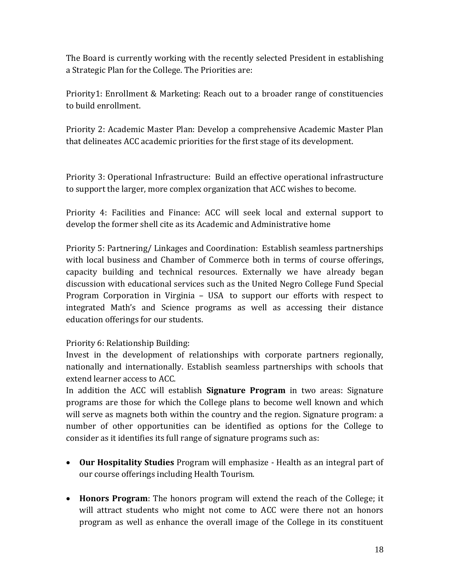The Board is currently working with the recently selected President in establishing a Strategic Plan for the College. The Priorities are:

Priority1: Enrollment & Marketing: Reach out to a broader range of constituencies to build enrollment.

Priority 2: Academic Master Plan: Develop a comprehensive Academic Master Plan that delineates ACC academic priorities for the first stage of its development.

Priority 3: Operational Infrastructure: Build an effective operational infrastructure to support the larger, more complex organization that ACC wishes to become.

Priority 4: Facilities and Finance: ACC will seek local and external support to develop the former shell cite as its Academic and Administrative home

Priority 5: Partnering/ Linkages and Coordination: Establish seamless partnerships with local business and Chamber of Commerce both in terms of course offerings, capacity building and technical resources. Externally we have already began discussion with educational services such as the United Negro College Fund Special Program Corporation in Virginia – USA to support our efforts with respect to integrated Math's and Science programs as well as accessing their distance education offerings for our students.

Priority 6: Relationship Building:

Invest in the development of relationships with corporate partners regionally, nationally and internationally. Establish seamless partnerships with schools that extend learner access to ACC.

In addition the ACC will establish **Signature Program** in two areas: Signature programs are those for which the College plans to become well known and which will serve as magnets both within the country and the region. Signature program: a number of other opportunities can be identified as options for the College to consider as it identifies its full range of signature programs such as:

- **Our Hospitality Studies** Program will emphasize ‐ Health as an integral part of our course offerings including Health Tourism.
- **Honors Program**: The honors program will extend the reach of the College; it will attract students who might not come to ACC were there not an honors program as well as enhance the overall image of the College in its constituent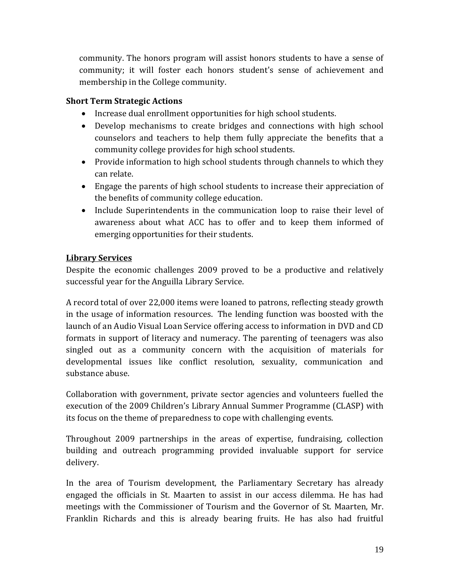community. The honors program will assist honors students to have a sense of community; it will foster each honors student's sense of achievement and membership in the College community.

## **Short Term Strategic Actions**

- Increase dual enrollment opportunities for high school students.
- Develop mechanisms to create bridges and connections with high school counselors and teachers to help them fully appreciate the benefits that a community college provides for high school students.
- Provide information to high school students through channels to which they can relate.
- Engage the parents of high school students to increase their appreciation of the benefits of community college education.
- Include Superintendents in the communication loop to raise their level of awareness about what ACC has to offer and to keep them informed of emerging opportunities for their students.

## **Library Services**

Despite the economic challenges 2009 proved to be a productive and relatively successful year for the Anguilla Library Service.

A record total of over 22,000 items were loaned to patrons, reflecting steady growth in the usage of information resources. The lending function was boosted with the launch of an Audio Visual Loan Service offering access to information in DVD and CD formats in support of literacy and numeracy. The parenting of teenagers was also singled out as a community concern with the acquisition of materials for developmental issues like conflict resolution, sexuality, communication and substance abuse.

Collaboration with government, private sector agencies and volunteers fuelled the execution of the 2009 Children's Library Annual Summer Programme (CLASP) with its focus on the theme of preparedness to cope with challenging events.

Throughout 2009 partnerships in the areas of expertise, fundraising, collection building and outreach programming provided invaluable support for service delivery.

In the area of Tourism development, the Parliamentary Secretary has already engaged the officials in St. Maarten to assist in our access dilemma. He has had meetings with the Commissioner of Tourism and the Governor of St. Maarten, Mr. Franklin Richards and this is already bearing fruits. He has also had fruitful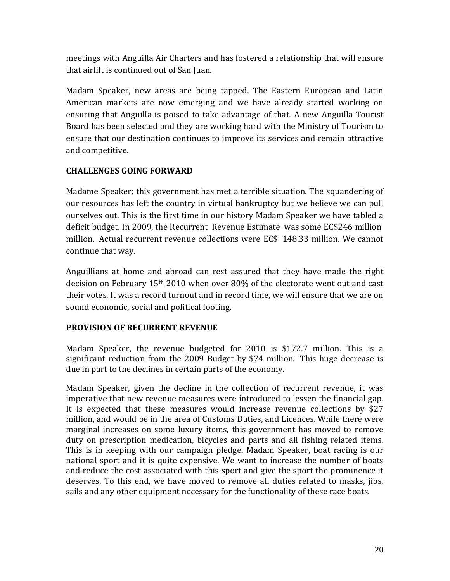meetings with Anguilla Air Charters and has fostered a relationship that will ensure that airlift is continued out of San Juan.

Madam Speaker, new areas are being tapped. The Eastern European and Latin American markets are now emerging and we have already started working on ensuring that Anguilla is poised to take advantage of that. A new Anguilla Tourist Board has been selected and they are working hard with the Ministry of Tourism to ensure that our destination continues to improve its services and remain attractive and competitive.

## **CHALLENGES GOING FORWARD**

Madame Speaker; this government has met a terrible situation. The squandering of our resources has left the country in virtual bankruptcy but we believe we can pull ourselves out. This is the first time in our history Madam Speaker we have tabled a deficit budget. In 2009, the Recurrent Revenue Estimate was some EC\$246 million million. Actual recurrent revenue collections were EC\$ 148.33 million. We cannot continue that way.

Anguillians at home and abroad can rest assured that they have made the right decision on February 15th 2010 when over 80% of the electorate went out and cast their votes. It was a record turnout and in record time, we will ensure that we are on sound economic, social and political footing.

# **PROVISION OF RECURRENT REVENUE**

Madam Speaker, the revenue budgeted for 2010 is \$172.7 million. This is a significant reduction from the 2009 Budget by \$74 million. This huge decrease is due in part to the declines in certain parts of the economy.

Madam Speaker, given the decline in the collection of recurrent revenue, it was imperative that new revenue measures were introduced to lessen the financial gap. It is expected that these measures would increase revenue collections by \$27 million, and would be in the area of Customs Duties, and Licences. While there were marginal increases on some luxury items, this government has moved to remove duty on prescription medication, bicycles and parts and all fishing related items. This is in keeping with our campaign pledge. Madam Speaker, boat racing is our national sport and it is quite expensive. We want to increase the number of boats and reduce the cost associated with this sport and give the sport the prominence it deserves. To this end, we have moved to remove all duties related to masks, jibs, sails and any other equipment necessary for the functionality of these race boats.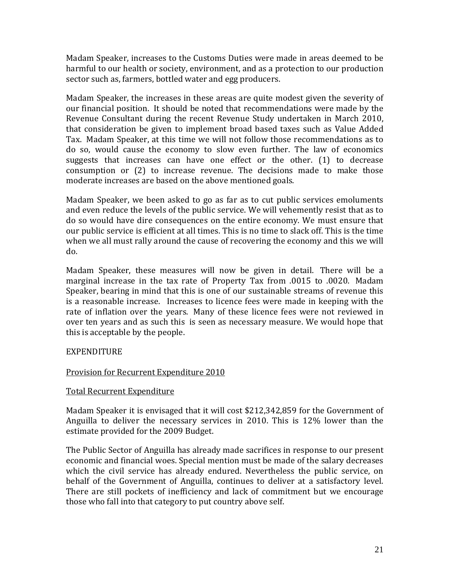Madam Speaker, increases to the Customs Duties were made in areas deemed to be harmful to our health or society, environment, and as a protection to our production sector such as, farmers, bottled water and egg producers.

Madam Speaker, the increases in these areas are quite modest given the severity of our financial position. It should be noted that recommendations were made by the Revenue Consultant during the recent Revenue Study undertaken in March 2010, that consideration be given to implement broad based taxes such as Value Added Tax. Madam Speaker, at this time we will not follow those recommendations as to do so, would cause the economy to slow even further. The law of economics suggests that increases can have one effect or the other. (1) to decrease consumption or (2) to increase revenue. The decisions made to make those moderate increases are based on the above mentioned goals.

Madam Speaker, we been asked to go as far as to cut public services emoluments and even reduce the levels of the public service. We will vehemently resist that as to do so would have dire consequences on the entire economy. We must ensure that our public service is efficient at all times. This is no time to slack off. This is the time when we all must rally around the cause of recovering the economy and this we will do.

Madam Speaker, these measures will now be given in detail. There will be a marginal increase in the tax rate of Property Tax from .0015 to .0020. Madam Speaker, bearing in mind that this is one of our sustainable streams of revenue this is a reasonable increase. Increases to licence fees were made in keeping with the rate of inflation over the years. Many of these licence fees were not reviewed in over ten years and as such this is seen as necessary measure. We would hope that this is acceptable by the people.

## EXPENDITURE

# Provision for Recurrent Expenditure 2010

## Total Recurrent Expenditure

Madam Speaker it is envisaged that it will cost \$212,342,859 for the Government of Anguilla to deliver the necessary services in 2010. This is 12% lower than the estimate provided for the 2009 Budget.

The Public Sector of Anguilla has already made sacrifices in response to our present economic and financial woes. Special mention must be made of the salary decreases which the civil service has already endured. Nevertheless the public service, on behalf of the Government of Anguilla, continues to deliver at a satisfactory level. There are still pockets of inefficiency and lack of commitment but we encourage those who fall into that category to put country above self.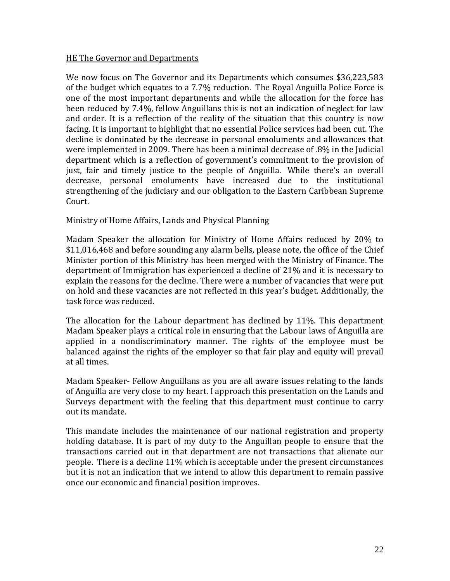### HE The Governor and Departments

We now focus on The Governor and its Departments which consumes \$36,223,583 of the budget which equates to a 7.7% reduction. The Royal Anguilla Police Force is one of the most important departments and while the allocation for the force has been reduced by 7.4%, fellow Anguillans this is not an indication of neglect for law and order. It is a reflection of the reality of the situation that this country is now facing. It is important to highlight that no essential Police services had been cut. The decline is dominated by the decrease in personal emoluments and allowances that were implemented in 2009. There has been a minimal decrease of .8% in the Judicial department which is a reflection of government's commitment to the provision of just, fair and timely justice to the people of Anguilla. While there's an overall decrease, personal emoluments have increased due to the institutional strengthening of the judiciary and our obligation to the Eastern Caribbean Supreme Court.

### Ministry of Home Affairs, Lands and Physical Planning

Madam Speaker the allocation for Ministry of Home Affairs reduced by 20% to \$11,016,468 and before sounding any alarm bells, please note, the office of the Chief Minister portion of this Ministry has been merged with the Ministry of Finance. The department of Immigration has experienced a decline of 21% and it is necessary to explain the reasons for the decline. There were a number of vacancies that were put on hold and these vacancies are not reflected in this year's budget. Additionally, the task force was reduced.

The allocation for the Labour department has declined by 11%. This department Madam Speaker plays a critical role in ensuring that the Labour laws of Anguilla are applied in a nondiscriminatory manner. The rights of the employee must be balanced against the rights of the employer so that fair play and equity will prevail at all times.

Madam Speaker‐ Fellow Anguillans as you are all aware issues relating to the lands of Anguilla are very close to my heart. I approach this presentation on the Lands and Surveys department with the feeling that this department must continue to carry out its mandate.

This mandate includes the maintenance of our national registration and property holding database. It is part of my duty to the Anguillan people to ensure that the transactions carried out in that department are not transactions that alienate our people. There is a decline 11% which is acceptable under the present circumstances but it is not an indication that we intend to allow this department to remain passive once our economic and financial position improves.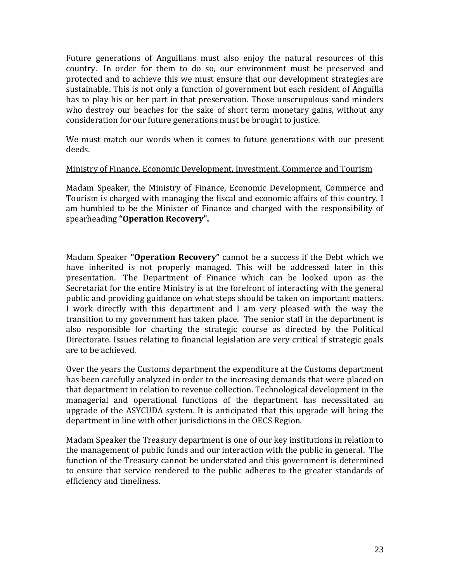Future generations of Anguillans must also enjoy the natural resources of this country. In order for them to do so, our environment must be preserved and protected and to achieve this we must ensure that our development strategies are sustainable. This is not only a function of government but each resident of Anguilla has to play his or her part in that preservation. Those unscrupulous sand minders who destroy our beaches for the sake of short term monetary gains, without any consideration for our future generations must be brought to justice.

We must match our words when it comes to future generations with our present deeds.

### Ministry of Finance, Economic Development, Investment, Commerce and Tourism

Madam Speaker, the Ministry of Finance, Economic Development, Commerce and Tourism is charged with managing the fiscal and economic affairs of this country. I am humbled to be the Minister of Finance and charged with the responsibility of spearheading **"Operation Recovery".**

Madam Speaker **"Operation Recovery"** cannot be a success if the Debt which we have inherited is not properly managed. This will be addressed later in this presentation. The Department of Finance which can be looked upon as the Secretariat for the entire Ministry is at the forefront of interacting with the general public and providing guidance on what steps should be taken on important matters. I work directly with this department and I am very pleased with the way the transition to my government has taken place. The senior staff in the department is also responsible for charting the strategic course as directed by the Political Directorate. Issues relating to financial legislation are very critical if strategic goals are to be achieved.

Over the years the Customs department the expenditure at the Customs department has been carefully analyzed in order to the increasing demands that were placed on that department in relation to revenue collection. Technological development in the managerial and operational functions of the department has necessitated an upgrade of the ASYCUDA system. It is anticipated that this upgrade will bring the department in line with other jurisdictions in the OECS Region.

Madam Speaker the Treasury department is one of our key institutions in relation to the management of public funds and our interaction with the public in general. The function of the Treasury cannot be understated and this government is determined to ensure that service rendered to the public adheres to the greater standards of efficiency and timeliness.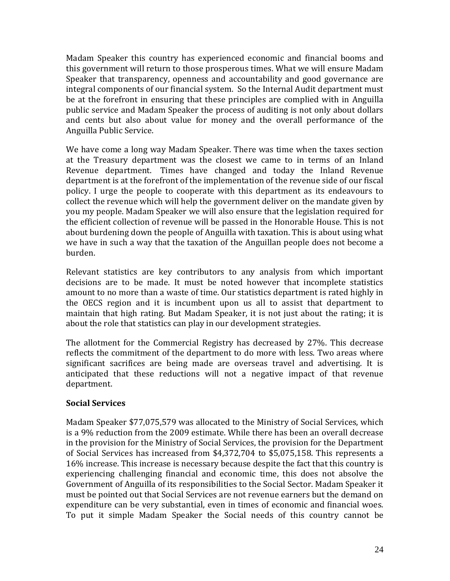Madam Speaker this country has experienced economic and financial booms and this government will return to those prosperous times. What we will ensure Madam Speaker that transparency, openness and accountability and good governance are integral components of our financial system. So the Internal Audit department must be at the forefront in ensuring that these principles are complied with in Anguilla public service and Madam Speaker the process of auditing is not only about dollars and cents but also about value for money and the overall performance of the Anguilla Public Service.

We have come a long way Madam Speaker. There was time when the taxes section at the Treasury department was the closest we came to in terms of an Inland Revenue department. Times have changed and today the Inland Revenue department is at the forefront of the implementation of the revenue side of our fiscal policy. I urge the people to cooperate with this department as its endeavours to collect the revenue which will help the government deliver on the mandate given by you my people. Madam Speaker we will also ensure that the legislation required for the efficient collection of revenue will be passed in the Honorable House. This is not about burdening down the people of Anguilla with taxation. This is about using what we have in such a way that the taxation of the Anguillan people does not become a burden.

Relevant statistics are key contributors to any analysis from which important decisions are to be made. It must be noted however that incomplete statistics amount to no more than a waste of time. Our statistics department is rated highly in the OECS region and it is incumbent upon us all to assist that department to maintain that high rating. But Madam Speaker, it is not just about the rating; it is about the role that statistics can play in our development strategies.

The allotment for the Commercial Registry has decreased by 27%. This decrease reflects the commitment of the department to do more with less. Two areas where significant sacrifices are being made are overseas travel and advertising. It is anticipated that these reductions will not a negative impact of that revenue department.

## **Social Services**

Madam Speaker \$77,075,579 was allocated to the Ministry of Social Services, which is a 9% reduction from the 2009 estimate. While there has been an overall decrease in the provision for the Ministry of Social Services, the provision for the Department of Social Services has increased from \$4,372,704 to \$5,075,158. This represents a 16% increase. This increase is necessary because despite the fact that this country is experiencing challenging financial and economic time, this does not absolve the Government of Anguilla of its responsibilities to the Social Sector. Madam Speaker it must be pointed out that Social Services are not revenue earners but the demand on expenditure can be very substantial, even in times of economic and financial woes. To put it simple Madam Speaker the Social needs of this country cannot be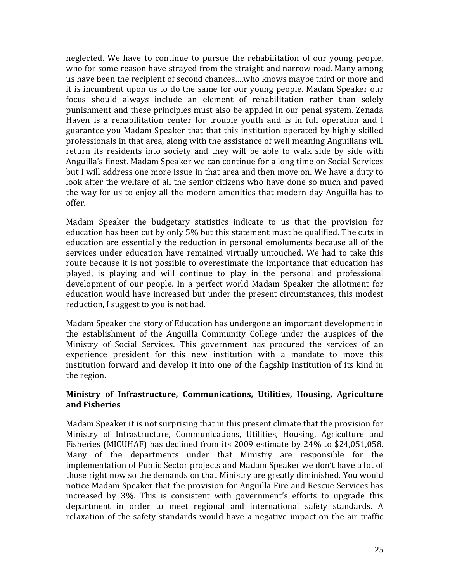neglected. We have to continue to pursue the rehabilitation of our young people, who for some reason have strayed from the straight and narrow road. Many among us have been the recipient of second chances….who knows maybe third or more and it is incumbent upon us to do the same for our young people. Madam Speaker our focus should always include an element of rehabilitation rather than solely punishment and these principles must also be applied in our penal system. Zenada Haven is a rehabilitation center for trouble youth and is in full operation and I guarantee you Madam Speaker that that this institution operated by highly skilled professionals in that area, along with the assistance of well meaning Anguillans will return its residents into society and they will be able to walk side by side with Anguilla's finest. Madam Speaker we can continue for a long time on Social Services but I will address one more issue in that area and then move on. We have a duty to look after the welfare of all the senior citizens who have done so much and paved the way for us to enjoy all the modern amenities that modern day Anguilla has to offer.

Madam Speaker the budgetary statistics indicate to us that the provision for education has been cut by only 5% but this statement must be qualified. The cuts in education are essentially the reduction in personal emoluments because all of the services under education have remained virtually untouched. We had to take this route because it is not possible to overestimate the importance that education has played, is playing and will continue to play in the personal and professional development of our people. In a perfect world Madam Speaker the allotment for education would have increased but under the present circumstances, this modest reduction, I suggest to you is not bad.

Madam Speaker the story of Education has undergone an important development in the establishment of the Anguilla Community College under the auspices of the Ministry of Social Services. This government has procured the services of an experience president for this new institution with a mandate to move this institution forward and develop it into one of the flagship institution of its kind in the region.

## **Ministry of Infrastructure, Communications, Utilities, Housing, Agriculture and Fisheries**

Madam Speaker it is not surprising that in this present climate that the provision for Ministry of Infrastructure, Communications, Utilities, Housing, Agriculture and Fisheries (MICUHAF) has declined from its 2009 estimate by 24% to \$24,051,058. Many of the departments under that Ministry are responsible for the implementation of Public Sector projects and Madam Speaker we don't have a lot of those right now so the demands on that Ministry are greatly diminished. You would notice Madam Speaker that the provision for Anguilla Fire and Rescue Services has increased by 3%. This is consistent with government's efforts to upgrade this department in order to meet regional and international safety standards. A relaxation of the safety standards would have a negative impact on the air traffic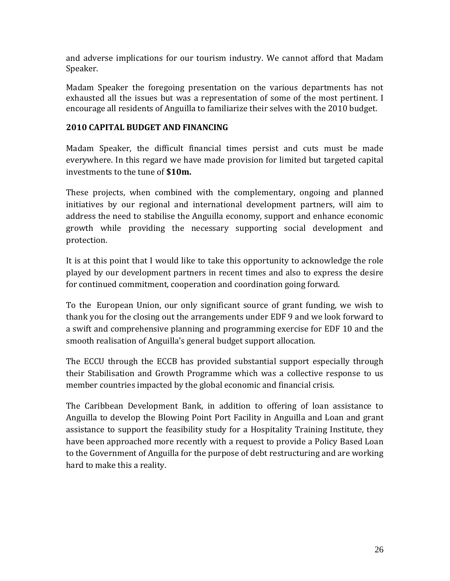and adverse implications for our tourism industry. We cannot afford that Madam Speaker.

Madam Speaker the foregoing presentation on the various departments has not exhausted all the issues but was a representation of some of the most pertinent. I encourage all residents of Anguilla to familiarize their selves with the 2010 budget.

# **2010 CAPITAL BUDGET AND FINANCING**

Madam Speaker, the difficult financial times persist and cuts must be made everywhere. In this regard we have made provision for limited but targeted capital investments to the tune of **\$10m.** 

These projects, when combined with the complementary, ongoing and planned initiatives by our regional and international development partners, will aim to address the need to stabilise the Anguilla economy, support and enhance economic growth while providing the necessary supporting social development and protection.

It is at this point that I would like to take this opportunity to acknowledge the role played by our development partners in recent times and also to express the desire for continued commitment, cooperation and coordination going forward.

To the European Union, our only significant source of grant funding, we wish to thank you for the closing out the arrangements under EDF 9 and we look forward to a swift and comprehensive planning and programming exercise for EDF 10 and the smooth realisation of Anguilla's general budget support allocation.

The ECCU through the ECCB has provided substantial support especially through their Stabilisation and Growth Programme which was a collective response to us member countries impacted by the global economic and financial crisis.

The Caribbean Development Bank, in addition to offering of loan assistance to Anguilla to develop the Blowing Point Port Facility in Anguilla and Loan and grant assistance to support the feasibility study for a Hospitality Training Institute, they have been approached more recently with a request to provide a Policy Based Loan to the Government of Anguilla for the purpose of debt restructuring and are working hard to make this a reality.